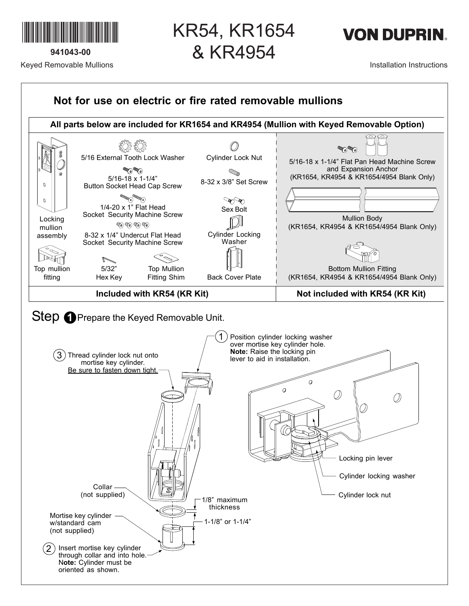

**941043-00** Keyed Removable Mullions KR54, KR1654 & KR4954



Installation Instructions

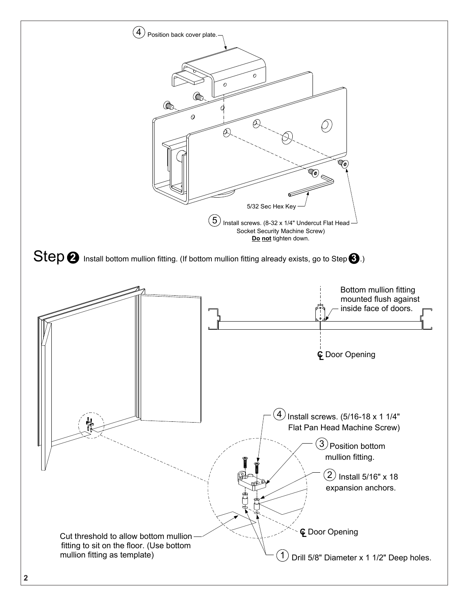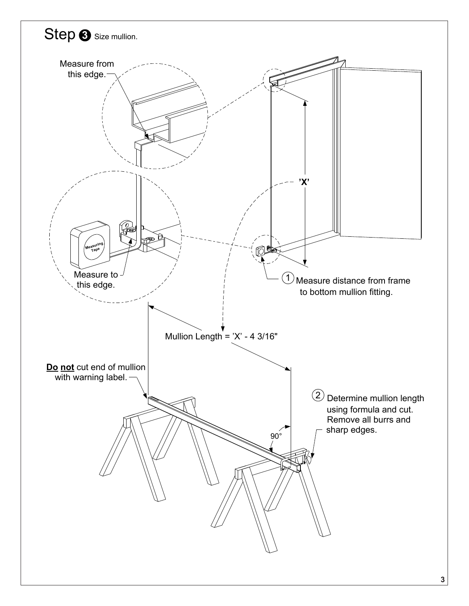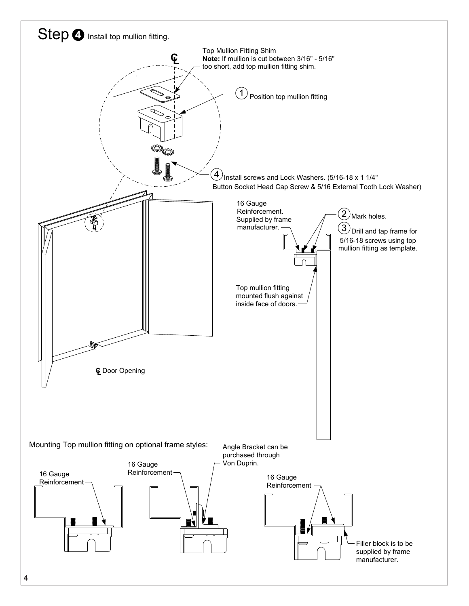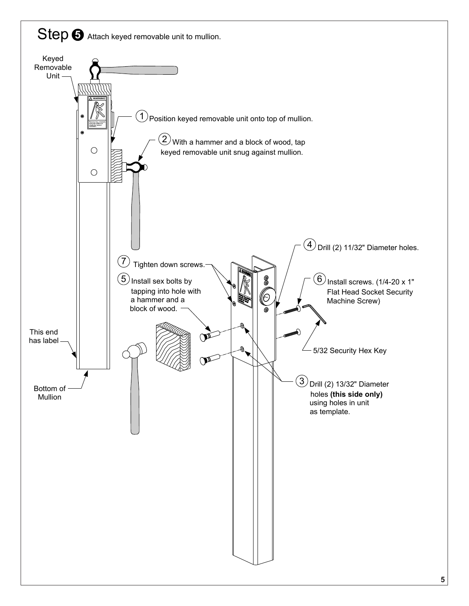## Step  $\Theta$  Attach keyed removable unit to mullion.